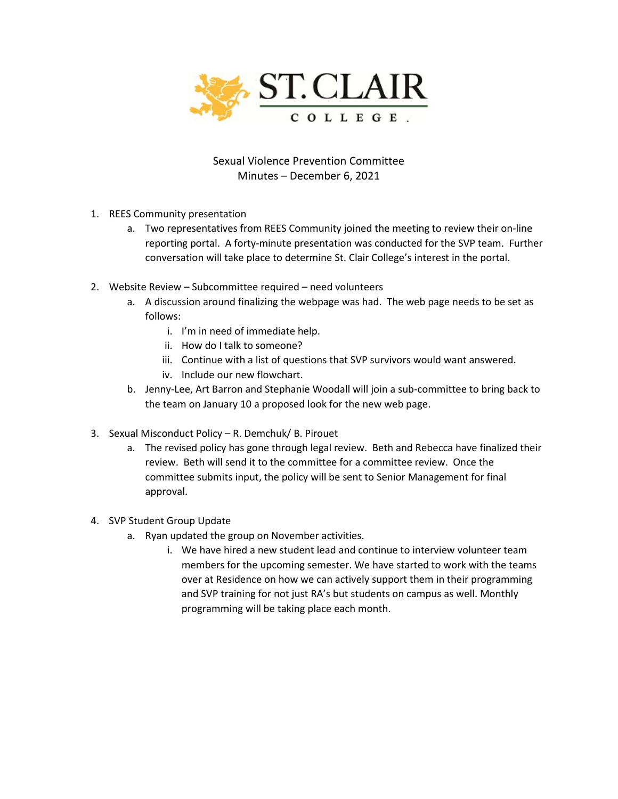

Sexual Violence Prevention Committee Minutes – December 6, 2021

- 1. REES Community presentation
	- a. Two representatives from REES Community joined the meeting to review their on-line reporting portal. A forty-minute presentation was conducted for the SVP team. Further conversation will take place to determine St. Clair College's interest in the portal.
- 2. Website Review Subcommittee required need volunteers
	- a. A discussion around finalizing the webpage was had. The web page needs to be set as follows:
		- i. I'm in need of immediate help.
		- ii. How do I talk to someone?
		- iii. Continue with a list of questions that SVP survivors would want answered.
		- iv. Include our new flowchart.
	- b. Jenny-Lee, Art Barron and Stephanie Woodall will join a sub-committee to bring back to the team on January 10 a proposed look for the new web page.
- 3. Sexual Misconduct Policy R. Demchuk/ B. Pirouet
	- a. The revised policy has gone through legal review. Beth and Rebecca have finalized their review. Beth will send it to the committee for a committee review. Once the committee submits input, the policy will be sent to Senior Management for final approval.
- 4. SVP Student Group Update
	- a. Ryan updated the group on November activities.
		- i. We have hired a new student lead and continue to interview volunteer team members for the upcoming semester. We have started to work with the teams over at Residence on how we can actively support them in their programming and SVP training for not just RA's but students on campus as well. Monthly programming will be taking place each month.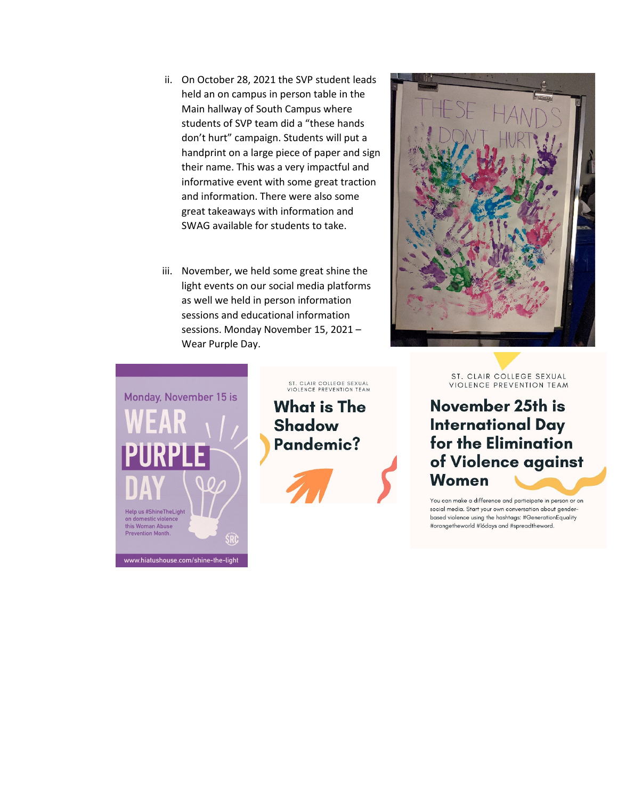- ii. On October 28, 2021 the SVP student leads held an on campus in person table in the Main hallway of South Campus where students of SVP team did a "these hands don't hurt" campaign. Students will put a handprint on a large piece of paper and sign their name. This was a very impactful and informative event with some great traction and information. There were also some great takeaways with information and SWAG available for students to take.
- iii. November, we held some great shine the light events on our social media platforms as well we held in person information sessions and educational information sessions. Monday November 15, 2021 – Wear Purple Day.



What is The **Shadow** Pandemic?

ST. CLAIR COLLEGE SEXUAL<br>VIOLENCE PREVENTION TEAM





ST. CLAIR COLLEGE SEXUAL VIOLENCE PREVENTION TEAM

## November 25th is **International Day** for the Elimination of Violence against **Women**

You can make a difference and participate in person or on social media. Start your own conversation about genderbased violence using the hashtags: #GenerationEquality #orangetheworld #16days and #spreadtheword.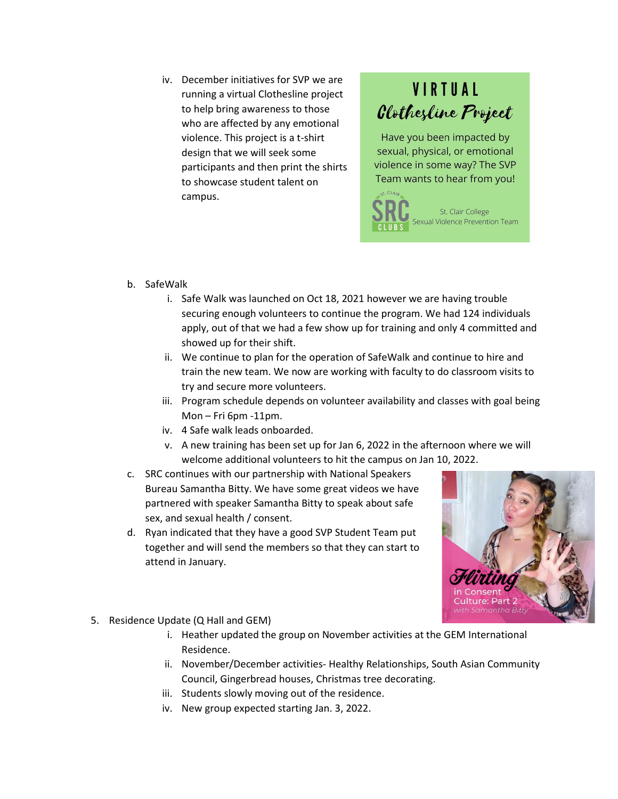iv. December initiatives for SVP we are running a virtual Clothesline project to help bring awareness to those who are affected by any emotional violence. This project is a t-shirt design that we will seek some participants and then print the shirts to showcase student talent on campus.

## **VIRTUAL Clothesline Project**

Have you been impacted by sexual, physical, or emotional violence in some way? The SVP Team wants to hear from you!



- b. SafeWalk
	- i. Safe Walk was launched on Oct 18, 2021 however we are having trouble securing enough volunteers to continue the program. We had 124 individuals apply, out of that we had a few show up for training and only 4 committed and showed up for their shift.
	- ii. We continue to plan for the operation of SafeWalk and continue to hire and train the new team. We now are working with faculty to do classroom visits to try and secure more volunteers.
	- iii. Program schedule depends on volunteer availability and classes with goal being Mon – Fri 6pm -11pm.
	- iv. 4 Safe walk leads onboarded.
	- v. A new training has been set up for Jan 6, 2022 in the afternoon where we will welcome additional volunteers to hit the campus on Jan 10, 2022.
- c. SRC continues with our partnership with National Speakers Bureau Samantha Bitty. We have some great videos we have partnered with speaker Samantha Bitty to speak about safe sex, and sexual health / consent.
- d. Ryan indicated that they have a good SVP Student Team put together and will send the members so that they can start to attend in January.



- 5. Residence Update (Q Hall and GEM)
	- i. Heather updated the group on November activities at the GEM International Residence.
	- ii. November/December activities- Healthy Relationships, South Asian Community Council, Gingerbread houses, Christmas tree decorating.
	- iii. Students slowly moving out of the residence.
	- iv. New group expected starting Jan. 3, 2022.